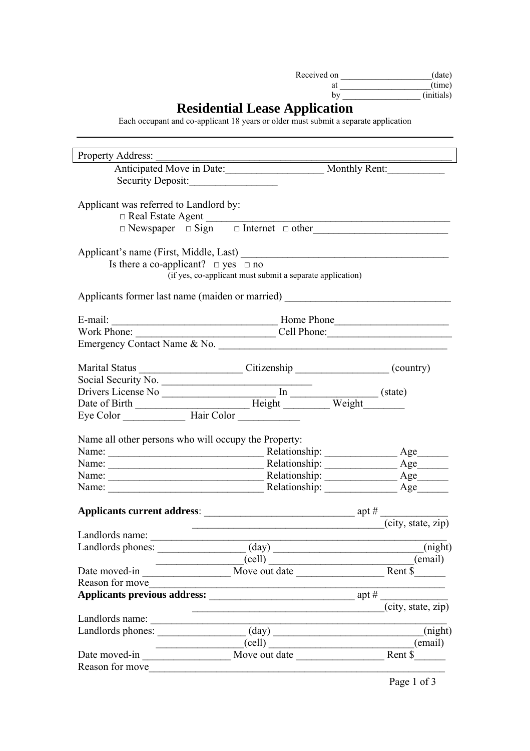Page 1 of 3

| Received on | (date)     |
|-------------|------------|
| at          | (time)     |
| by          | (initials) |

## **Residential Lease Application**

Each occupant and co-applicant 18 years or older must submit a separate application

| <b>Property Address:</b>                                                           |                                                           |                                                           |
|------------------------------------------------------------------------------------|-----------------------------------------------------------|-----------------------------------------------------------|
| Anticipated Move in Date: Monthly Rent:                                            |                                                           |                                                           |
| Security Deposit:                                                                  |                                                           |                                                           |
|                                                                                    |                                                           |                                                           |
| Applicant was referred to Landlord by:                                             |                                                           |                                                           |
| Real Estate Agent                                                                  |                                                           |                                                           |
|                                                                                    |                                                           | $\Box$ Newspaper $\Box$ Sign $\Box$ Internet $\Box$ other |
|                                                                                    |                                                           |                                                           |
|                                                                                    |                                                           |                                                           |
| Is there a co-applicant? $\Box$ yes $\Box$ no                                      |                                                           |                                                           |
|                                                                                    | (if yes, co-applicant must submit a separate application) |                                                           |
| Applicants former last name (maiden or married) _________________________________  |                                                           |                                                           |
|                                                                                    |                                                           |                                                           |
| Work Phone:                                                                        |                                                           |                                                           |
| Emergency Contact Name & No.                                                       |                                                           | Cell Phone:                                               |
|                                                                                    |                                                           |                                                           |
| Marital Status __________________________Citizenship ____________________(country) |                                                           |                                                           |
| Social Security No.                                                                |                                                           |                                                           |
|                                                                                    |                                                           |                                                           |
|                                                                                    |                                                           |                                                           |
|                                                                                    |                                                           |                                                           |
|                                                                                    |                                                           |                                                           |
| Name all other persons who will occupy the Property:                               |                                                           |                                                           |
| Name:                                                                              |                                                           | $Age$ <sub>___</sub>                                      |
|                                                                                    |                                                           |                                                           |
| Name:                                                                              |                                                           |                                                           |
|                                                                                    |                                                           | Relationship:                                             |
|                                                                                    |                                                           |                                                           |
|                                                                                    |                                                           |                                                           |

| Landlords name:                     |                |                    |
|-------------------------------------|----------------|--------------------|
| Landlords phones:                   | $\text{(day)}$ | (night)            |
|                                     | (cell)         | email)             |
| Date moved-in                       | Move out date  | Rent \$            |
| Reason for move                     |                |                    |
| <b>Applicants previous address:</b> |                | apt #              |
|                                     |                | (city, state, zip) |
| Landlords name:                     |                |                    |
| Landlords phones:                   | $\text{(day)}$ | (night)            |
|                                     | (cell)         | (email)            |
| Date moved-in                       | Move out date  | Rent \$            |
| Reason for move                     |                |                    |
|                                     |                |                    |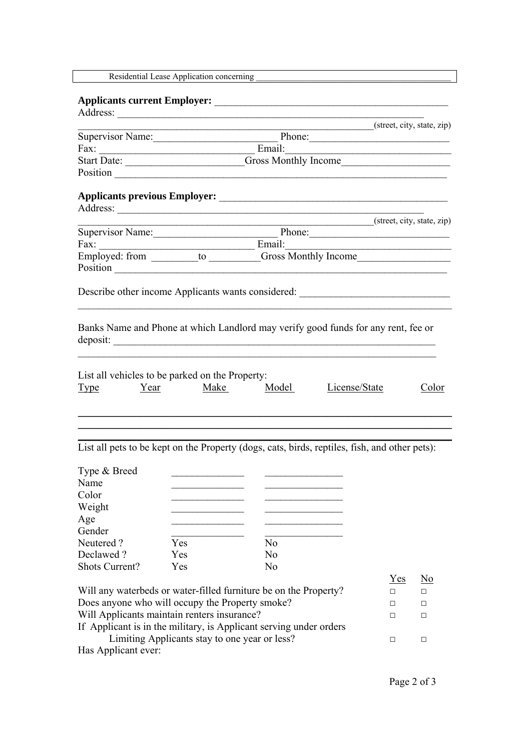Page 2 of 3

Residential Lease Application concerning \_\_\_\_\_\_\_\_\_\_\_\_\_\_\_\_\_\_\_\_\_\_\_\_\_\_\_\_\_\_\_\_\_\_\_\_\_\_\_\_\_\_\_\_\_

|                         |                             | (street, city, state, zip) |
|-------------------------|-----------------------------|----------------------------|
| <b>Supervisor Name:</b> | Phone:                      |                            |
| Fax:                    | Email:                      |                            |
| <b>Start Date:</b>      | <b>Gross Monthly Income</b> |                            |
| Position                |                             |                            |

## **Applicants current Employer:** \_\_\_\_\_\_\_\_\_\_\_\_\_\_\_\_\_\_\_\_\_\_\_\_\_\_\_\_\_\_\_\_\_\_\_\_\_\_\_\_\_\_\_\_\_

Address: \_\_\_\_\_\_\_\_\_\_\_\_\_\_\_\_\_\_\_\_\_\_\_\_\_\_\_\_\_\_\_\_\_\_\_\_\_\_\_\_\_\_\_\_\_\_\_\_\_\_\_\_\_\_\_\_\_\_\_

Weight

Banks Name and Phone at which Landlord may verify good funds for any rent, fee or deposit:

## **Applicants previous Employer:** \_\_\_\_\_\_\_\_\_\_\_\_\_\_\_\_\_\_\_\_\_\_\_\_\_\_\_\_\_\_\_\_\_\_\_\_\_\_\_\_\_\_\_\_

| Address:                |                             |                            |
|-------------------------|-----------------------------|----------------------------|
|                         |                             | (street, city, state, zip) |
| <b>Supervisor Name:</b> | Phone:                      |                            |
| Fax:                    | Email:                      |                            |
| Employed: from<br>to    | <b>Gross Monthly Income</b> |                            |
| Position                |                             |                            |

Describe other income Applicants wants considered: \_\_\_\_\_\_\_\_\_\_\_\_\_\_\_\_\_\_\_\_\_\_\_\_\_\_\_\_\_

Will any waterbeds or water-filled furniture be on the Property?  $\Box$ Does anyone who will occupy the Property smoke?  $\Box$ Will Applicants maintain renters insurance? □ □ □ If Applicant is in the military, is Applicant serving under orders Limiting Applicants stay to one year or less? □ □ □ Has Applicant ever:

 $Yes$  No

| <b>Type</b>  | Year | List all vehicles to be parked on the Property:<br>Make | Model | License/State                                                                                 | Color |
|--------------|------|---------------------------------------------------------|-------|-----------------------------------------------------------------------------------------------|-------|
|              |      |                                                         |       |                                                                                               |       |
|              |      |                                                         |       | List all pets to be kept on the Property (dogs, cats, birds, reptiles, fish, and other pets): |       |
| Type & Breed |      |                                                         |       |                                                                                               |       |
| Name         |      |                                                         |       |                                                                                               |       |
| Color        |      |                                                         |       |                                                                                               |       |

| Age                   |     |          |
|-----------------------|-----|----------|
| Gender                |     |          |
| Neutered?             | Yes | No       |
| Declawed?             | Yes | No       |
| <b>Shots Current?</b> | Yes | $\rm No$ |